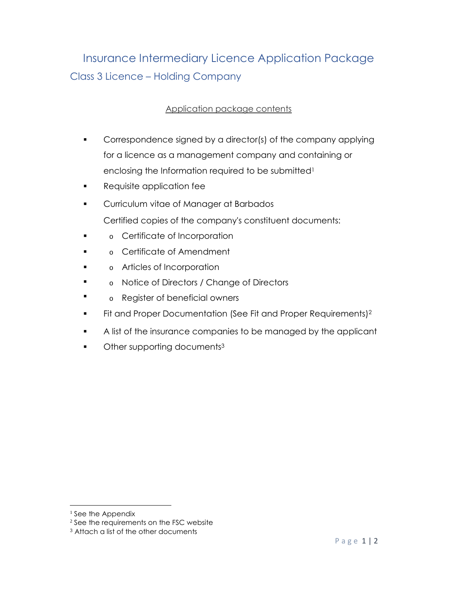## Insurance Intermediary Licence Application Package Class 3 Licence – Holding Company

## Application package contents

- Correspondence signed by a director(s) of the company applying for a licence as a management company and containing or enclosing the Information required to be submitted<sup>1</sup>
- **Requisite application fee**
- **•** Curriculum vitae of Manager at Barbados Certified copies of the company's constituent documents:
- $\blacksquare$ o Certificate of Incorporation
- . o Certificate of Amendment
- . o Articles of Incorporation
- $\blacksquare$ o Notice of Directors / Change of Directors
- . o Register of beneficial owners
- Fit and Proper Documentation (See Fit and Proper Requirements)<sup>2</sup>
- A list of the insurance companies to be managed by the applicant
- Other supporting documents<sup>3</sup>

<sup>&</sup>lt;sup>1</sup> See the Appendix

<sup>&</sup>lt;sup>2</sup> See the requirements on the FSC website

<sup>3</sup> Attach a list of the other documents